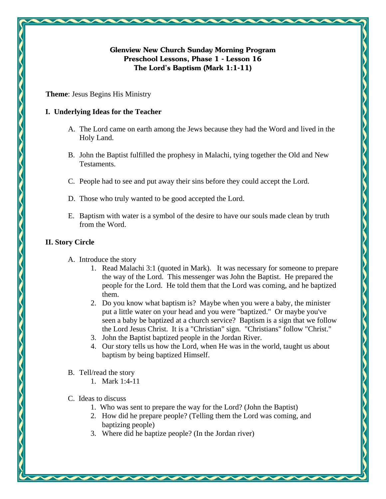# **Glenview New Church Sunday Morning Program Preschool Lessons, Phase 1 - Lesson 16 The Lord's Baptism (Mark 1:1-11)**

**Theme**: Jesus Begins His Ministry

### **I. Underlying Ideas for the Teacher**

- A. The Lord came on earth among the Jews because they had the Word and lived in the Holy Land.
- B. John the Baptist fulfilled the prophesy in Malachi, tying together the Old and New Testaments.
- C. People had to see and put away their sins before they could accept the Lord.
- D. Those who truly wanted to be good accepted the Lord.
- E. Baptism with water is a symbol of the desire to have our souls made clean by truth from the Word.

# **II. Story Circle**

- A. Introduce the story
	- 1. Read Malachi 3:1 (quoted in Mark). It was necessary for someone to prepare the way of the Lord. This messenger was John the Baptist. He prepared the people for the Lord. He told them that the Lord was coming, and he baptized them.
	- 2. Do you know what baptism is? Maybe when you were a baby, the minister put a little water on your head and you were "baptized." Or maybe you've seen a baby be baptized at a church service? Baptism is a sign that we follow the Lord Jesus Christ. It is a "Christian" sign. "Christians" follow "Christ."
	- 3. John the Baptist baptized people in the Jordan River.
	- 4. Our story tells us how the Lord, when He was in the world, taught us about baptism by being baptized Himself.
- B. Tell/read the story
	- 1. Mark 1:4-11
- C. Ideas to discuss
	- 1. Who was sent to prepare the way for the Lord? (John the Baptist)
	- 2. How did he prepare people? (Telling them the Lord was coming, and baptizing people)
	- 3. Where did he baptize people? (In the Jordan river)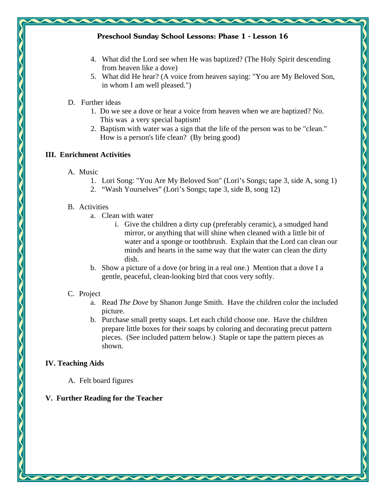### **Preschool Sunday School Lessons: Phase 1 - Lesson 16**

- 4. What did the Lord see when He was baptized? (The Holy Spirit descending from heaven like a dove)
- 5. What did He hear? (A voice from heaven saying: "You are My Beloved Son, in whom I am well pleased.")

### D. Further ideas

- 1. Do we see a dove or hear a voice from heaven when we are baptized? No. This was a very special baptism!
- 2. Baptism with water was a sign that the life of the person was to be "clean." How is a person's life clean? (By being good)

### **III. Enrichment Activities**

- A. Music
	- 1. Lori Song: "You Are My Beloved Son" (Lori's Songs; tape 3, side A, song 1)
	- 2. "Wash Yourselves" (Lori's Songs; tape 3, side B, song 12)

#### B. Activities

- a. Clean with water
	- i. Give the children a dirty cup (preferably ceramic), a smudged hand mirror, or anything that will shine when cleaned with a little bit of water and a sponge or toothbrush. Explain that the Lord can clean our minds and hearts in the same way that the water can clean the dirty dish.
- b. Show a picture of a dove (or bring in a real one.) Mention that a dove I a gentle, peaceful, clean-looking bird that coos very softly.

### C. Project

- a. Read *The Dove* by Shanon Junge Smith. Have the children color the included picture.
- b. Purchase small pretty soaps. Let each child choose one. Have the children prepare little boxes for their soaps by coloring and decorating precut pattern pieces. (See included pattern below.) Staple or tape the pattern pieces as shown.

# **IV. Teaching Aids**

A. Felt board figures

# **V. Further Reading for the Teacher**